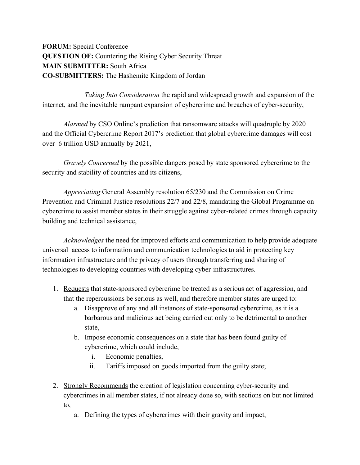**FORUM:** Special Conference **QUESTION OF:** Countering the Rising Cyber Security Threat **MAIN SUBMITTER:** South Africa **CO-SUBMITTERS:** The Hashemite Kingdom of Jordan

*Taking Into Consideration* the rapid and widespread growth and expansion of the internet, and the inevitable rampant expansion of cybercrime and breaches of cyber-security,

*Alarmed* by CSO Online's prediction that ransomware attacks will quadruple by 2020 and the Official Cybercrime Report 2017's prediction that global cybercrime damages will cost over 6 trillion USD annually by 2021,

*Gravely Concerned* by the possible dangers posed by state sponsored cybercrime to the security and stability of countries and its citizens,

*Appreciating* General Assembly resolution 65/230 and the Commission on Crime Prevention and Criminal Justice resolutions 22/7 and 22/8, mandating the Global Programme on cybercrime to assist member states in their struggle against cyber-related crimes through capacity building and technical assistance,

*Acknowledges* the need for improved efforts and communication to help provide adequate universal access to information and communication technologies to aid in protecting key information infrastructure and the privacy of users through transferring and sharing of technologies to developing countries with developing cyber-infrastructures.

- 1. Requests that state-sponsored cybercrime be treated as a serious act of aggression, and that the repercussions be serious as well, and therefore member states are urged to:
	- a. Disapprove of any and all instances of state-sponsored cybercrime, as it is a barbarous and malicious act being carried out only to be detrimental to another state,
	- b. Impose economic consequences on a state that has been found guilty of cybercrime, which could include,
		- i. Economic penalties,
		- ii. Tariffs imposed on goods imported from the guilty state;
- 2. Strongly Recommends the creation of legislation concerning cyber-security and cybercrimes in all member states, if not already done so, with sections on but not limited to,
	- a. Defining the types of cybercrimes with their gravity and impact,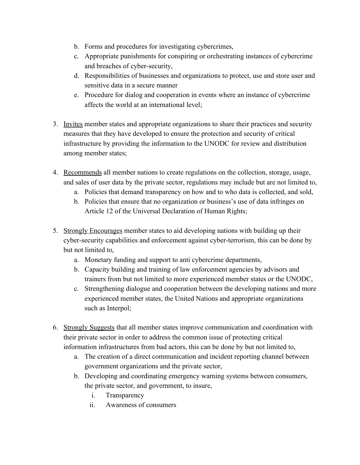- b. Forms and procedures for investigating cybercrimes,
- c. Appropriate punishments for conspiring or orchestrating instances of cybercrime and breaches of cyber-security,
- d. Responsibilities of businesses and organizations to protect, use and store user and sensitive data in a secure manner
- e. Procedure for dialog and cooperation in events where an instance of cybercrime affects the world at an international level;
- 3. Invites member states and appropriate organizations to share their practices and security measures that they have developed to ensure the protection and security of critical infrastructure by providing the information to the UNODC for review and distribution among member states;
- 4. Recommends all member nations to create regulations on the collection, storage, usage, and sales of user data by the private sector, regulations may include but are not limited to,
	- a. Policies that demand transparency on how and to who data is collected, and sold,
	- b. Policies that ensure that no organization or business's use of data infringes on Article 12 of the Universal Declaration of Human Rights;
- 5. Strongly Encourages member states to aid developing nations with building up their cyber-security capabilities and enforcement against cyber-terrorism, this can be done by but not limited to,
	- a. Monetary funding and support to anti cybercrime departments,
	- b. Capacity building and training of law enforcement agencies by advisors and trainers from but not limited to more experienced member states or the UNODC,
	- c. Strengthening dialogue and cooperation between the developing nations and more experienced member states, the United Nations and appropriate organizations such as Interpol;
- 6. Strongly Suggests that all member states improve communication and coordination with their private sector in order to address the common issue of protecting critical information infrastructures from bad actors, this can be done by but not limited to,
	- a. The creation of a direct communication and incident reporting channel between government organizations and the private sector,
	- b. Developing and coordinating emergency warning systems between consumers, the private sector, and government, to insure,
		- i. Transparency
		- ii. Awareness of consumers